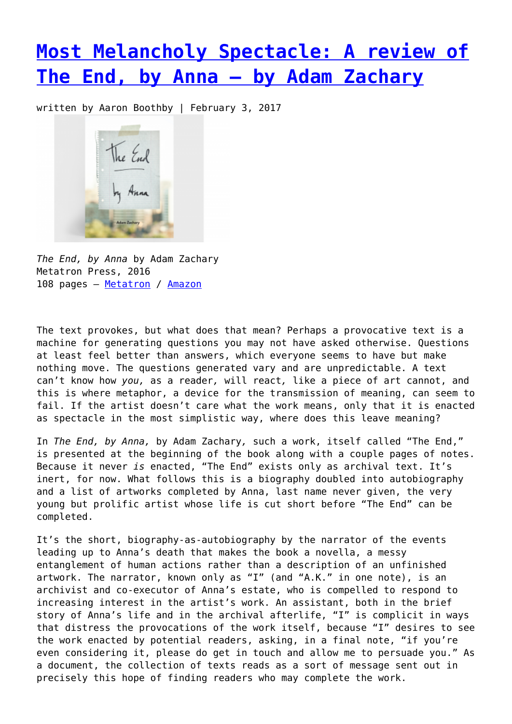## **[Most Melancholy Spectacle: A review of](https://entropymag.org/most-melancholy-spectacle-a-review-of-the-end-by-anna-by-adam-zachary/) [The End, by Anna – by Adam Zachary](https://entropymag.org/most-melancholy-spectacle-a-review-of-the-end-by-anna-by-adam-zachary/)**

written by Aaron Boothby | February 3, 2017



*The End, by Anna* by Adam Zachary Metatron Press, 2016 108 pages - [Metatron](http://www.onmetatron.org/portfolio_page/the-end-by-anna-adam-zachary/) / [Amazon](https://www.amazon.com/End-Anna-Adam-Zachary/dp/1988355028/ref=sr_1_1?ie=UTF8&qid=1485567202&sr=8-1&keywords=The+End%2C+by+Anna+by+Adam+Zachary)

The text provokes, but what does that mean? Perhaps a provocative text is a machine for generating questions you may not have asked otherwise. Questions at least feel better than answers, which everyone seems to have but make nothing move. The questions generated vary and are unpredictable. A text can't know how *you,* as a reader*,* will react*,* like a piece of art cannot, and this is where metaphor, a device for the transmission of meaning, can seem to fail. If the artist doesn't care what the work means, only that it is enacted as spectacle in the most simplistic way, where does this leave meaning?

In *The End, by Anna,* by Adam Zachary*,* such a work, itself called "The End," is presented at the beginning of the book along with a couple pages of notes. Because it never *is* enacted, "The End" exists only as archival text. It's inert, for now. What follows this is a biography doubled into autobiography and a list of artworks completed by Anna, last name never given, the very young but prolific artist whose life is cut short before "The End" can be completed.

It's the short, biography-as-autobiography by the narrator of the events leading up to Anna's death that makes the book a novella, a messy entanglement of human actions rather than a description of an unfinished artwork. The narrator, known only as "I" (and "A.K." in one note), is an archivist and co-executor of Anna's estate, who is compelled to respond to increasing interest in the artist's work. An assistant, both in the brief story of Anna's life and in the archival afterlife, "I" is complicit in ways that distress the provocations of the work itself, because "I" desires to see the work enacted by potential readers, asking, in a final note, "if you're even considering it, please do get in touch and allow me to persuade you." As a document, the collection of texts reads as a sort of message sent out in precisely this hope of finding readers who may complete the work.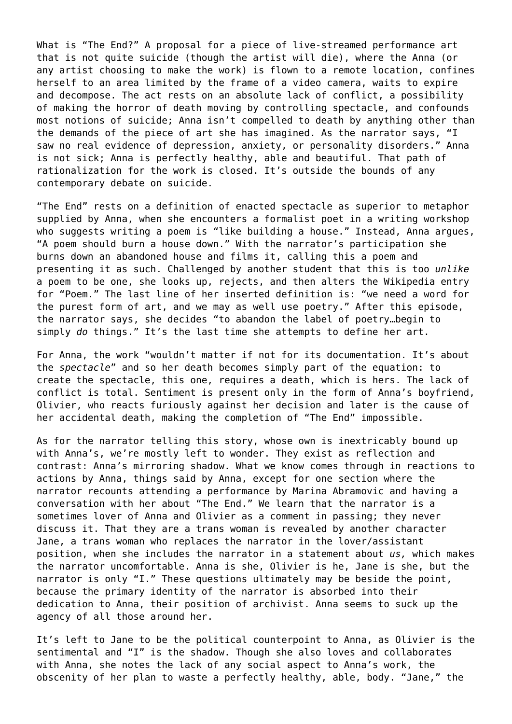What is "The End?" A proposal for a piece of live-streamed performance art that is not quite suicide (though the artist will die), where the Anna (or any artist choosing to make the work) is flown to a remote location, confines herself to an area limited by the frame of a video camera, waits to expire and decompose. The act rests on an absolute lack of conflict, a possibility of making the horror of death moving by controlling spectacle, and confounds most notions of suicide; Anna isn't compelled to death by anything other than the demands of the piece of art she has imagined. As the narrator says, "I saw no real evidence of depression, anxiety, or personality disorders." Anna is not sick; Anna is perfectly healthy, able and beautiful. That path of rationalization for the work is closed. It's outside the bounds of any contemporary debate on suicide.

"The End" rests on a definition of enacted spectacle as superior to metaphor supplied by Anna, when she encounters a formalist poet in a writing workshop who suggests writing a poem is "like building a house." Instead, Anna argues, "A poem should burn a house down." With the narrator's participation she burns down an abandoned house and films it, calling this a poem and presenting it as such. Challenged by another student that this is too *unlike* a poem to be one, she looks up, rejects, and then alters the Wikipedia entry for "Poem." The last line of her inserted definition is: "we need a word for the purest form of art, and we may as well use poetry." After this episode, the narrator says, she decides "to abandon the label of poetry…begin to simply *do* things." It's the last time she attempts to define her art.

For Anna, the work "wouldn't matter if not for its documentation. It's about the *spectacle*" and so her death becomes simply part of the equation: to create the spectacle, this one, requires a death, which is hers. The lack of conflict is total. Sentiment is present only in the form of Anna's boyfriend, Olivier, who reacts furiously against her decision and later is the cause of her accidental death, making the completion of "The End" impossible.

As for the narrator telling this story, whose own is inextricably bound up with Anna's, we're mostly left to wonder. They exist as reflection and contrast: Anna's mirroring shadow. What we know comes through in reactions to actions by Anna, things said by Anna, except for one section where the narrator recounts attending a performance by Marina Abramovic and having a conversation with her about "The End." We learn that the narrator is a sometimes lover of Anna and Olivier as a comment in passing; they never discuss it. That they are a trans woman is revealed by another character Jane, a trans woman who replaces the narrator in the lover/assistant position, when she includes the narrator in a statement about *us,* which makes the narrator uncomfortable. Anna is she, Olivier is he, Jane is she, but the narrator is only "I." These questions ultimately may be beside the point, because the primary identity of the narrator is absorbed into their dedication to Anna, their position of archivist. Anna seems to suck up the agency of all those around her.

It's left to Jane to be the political counterpoint to Anna, as Olivier is the sentimental and "I" is the shadow. Though she also loves and collaborates with Anna, she notes the lack of any social aspect to Anna's work, the obscenity of her plan to waste a perfectly healthy, able, body. "Jane," the